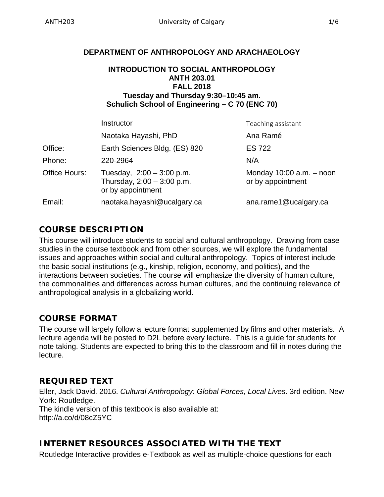#### **DEPARTMENT OF ANTHROPOLOGY AND ARACHAEOLOGY**

#### **INTRODUCTION TO SOCIAL ANTHROPOLOGY ANTH 203.01 FALL 2018 Tuesday and Thursday 9:30–10:45 am. Schulich School of Engineering – C 70 (ENC 70)**

|               | Instructor                                                                       | Teaching assistant                                |  |
|---------------|----------------------------------------------------------------------------------|---------------------------------------------------|--|
|               | Naotaka Hayashi, PhD                                                             | Ana Ramé                                          |  |
| Office:       | Earth Sciences Bldg. (ES) 820                                                    | <b>ES 722</b>                                     |  |
| Phone:        | 220-2964                                                                         | N/A                                               |  |
| Office Hours: | Tuesday, $2:00 - 3:00$ p.m.<br>Thursday, $2:00 - 3:00$ p.m.<br>or by appointment | Monday $10:00$ a.m. $-$ noon<br>or by appointment |  |
| Email:        | naotaka.hayashi@ucalgary.ca                                                      | ana.rame1@ucalgary.ca                             |  |

### **COURSE DESCRIPTION**

This course will introduce students to social and cultural anthropology. Drawing from case studies in the course textbook and from other sources, we will explore the fundamental issues and approaches within social and cultural anthropology. Topics of interest include the basic social institutions (e.g., kinship, religion, economy, and politics), and the interactions between societies. The course will emphasize the diversity of human culture, the commonalities and differences across human cultures, and the continuing relevance of anthropological analysis in a globalizing world.

## **COURSE FORMAT**

The course will largely follow a lecture format supplemented by films and other materials. A lecture agenda will be posted to D2L before every lecture. This is a guide for students for note taking. Students are expected to bring this to the classroom and fill in notes during the lecture.

# **REQUIRED TEXT**

Eller, Jack David. 2016. *Cultural Anthropology: Global Forces, Local Lives*. 3rd edition. New York: Routledge. The kindle version of this textbook is also available at: http://a.co/d/08cZ5YC

## **INTERNET RESOURCES ASSOCIATED WITH THE TEXT**

Routledge Interactive provides e-Textbook as well as multiple-choice questions for each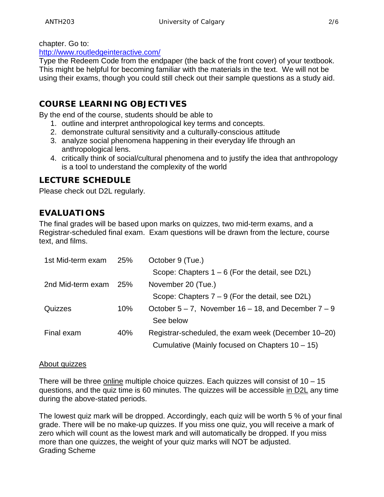chapter. Go to:

[http://www.routledgeinteractive.com/](http://www.routledgeinteractive.com/#_blank)

Type the Redeem Code from the endpaper (the back of the front cover) of your textbook. This might be helpful for becoming familiar with the materials in the text. We will not be using their exams, though you could still check out their sample questions as a study aid.

# **COURSE LEARNING OBJECTIVES**

By the end of the course, students should be able to

- 1. outline and interpret anthropological key terms and concepts.
- 2. demonstrate cultural sensitivity and a culturally-conscious attitude
- 3. analyze social phenomena happening in their everyday life through an anthropological lens.
- 4. critically think of social/cultural phenomena and to justify the idea that anthropology is a tool to understand the complexity of the world

## **LECTURE SCHEDULE**

Please check out D2L regularly.

# **EVALUATIONS**

The final grades will be based upon marks on quizzes, two mid-term exams, and a Registrar-scheduled final exam. Exam questions will be drawn from the lecture, course text, and films.

| 1st Mid-term exam | 25% | October 9 (Tue.)                                            |
|-------------------|-----|-------------------------------------------------------------|
|                   |     | Scope: Chapters $1 - 6$ (For the detail, see D2L)           |
| 2nd Mid-term exam | 25% | November 20 (Tue.)                                          |
|                   |     | Scope: Chapters $7 - 9$ (For the detail, see D2L)           |
| Quizzes           | 10% | October $5 - 7$ , November $16 - 18$ , and December $7 - 9$ |
|                   |     | See below                                                   |
| Final exam        | 40% | Registrar-scheduled, the exam week (December 10–20)         |
|                   |     | Cumulative (Mainly focused on Chapters $10 - 15$ )          |

#### About quizzes

There will be three online multiple choice quizzes. Each quizzes will consist of  $10 - 15$ questions, and the quiz time is 60 minutes. The quizzes will be accessible in D2L any time during the above-stated periods.

The lowest quiz mark will be dropped. Accordingly, each quiz will be worth 5 % of your final grade. There will be no make-up quizzes. If you miss one quiz, you will receive a mark of zero which will count as the lowest mark and will automatically be dropped. If you miss more than one quizzes, the weight of your quiz marks will NOT be adjusted. Grading Scheme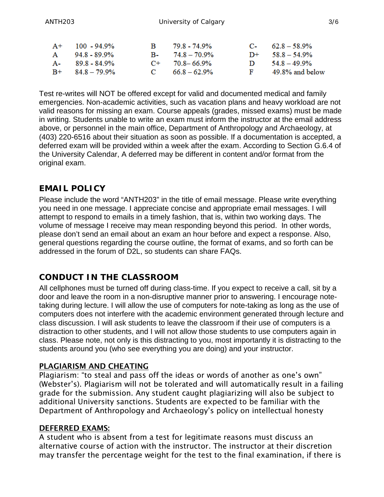| $A+$ 100 - 94.9%    | <b>B</b> | 79.8 - 74.9%              | $C_{\rm{2}}$ 62.8 – 58.9% |
|---------------------|----------|---------------------------|---------------------------|
| A 94.8 - 89.9%      |          | $B - 74.8 - 70.9\%$       | $D^+$ 58.8 - 54.9%        |
| A- 89.8 - 84.9%     |          | $C_{\rm{+}}$ 70.8 – 66.9% | $D = 54.8 - 49.9\%$       |
| $B + 84.8 - 79.9\%$ |          | $C = 66.8 - 62.9\%$       | F 49.8% and below         |

Test re-writes will NOT be offered except for valid and documented medical and family emergencies. Non-academic activities, such as vacation plans and heavy workload are not valid reasons for missing an exam. Course appeals (grades, missed exams) must be made in writing. Students unable to write an exam must inform the instructor at the email address above, or personnel in the main office, Department of Anthropology and Archaeology, at (403) 220-6516 about their situation as soon as possible. If a documentation is accepted, a deferred exam will be provided within a week after the exam. According to Section G.6.4 of the University Calendar, A deferred may be different in content and/or format from the original exam.

## **EMAIL POLICY**

Please include the word "ANTH203" in the title of email message. Please write everything you need in one message. I appreciate concise and appropriate email messages. I will attempt to respond to emails in a timely fashion, that is, within two working days. The volume of message I receive may mean responding beyond this period. In other words, please don't send an email about an exam an hour before and expect a response. Also, general questions regarding the course outline, the format of exams, and so forth can be addressed in the forum of D2L, so students can share FAQs.

## **CONDUCT IN THE CLASSROOM**

All cellphones must be turned off during class-time. If you expect to receive a call, sit by a door and leave the room in a non-disruptive manner prior to answering. I encourage notetaking during lecture. I will allow the use of computers for note-taking as long as the use of computers does not interfere with the academic environment generated through lecture and class discussion. I will ask students to leave the classroom if their use of computers is a distraction to other students, and I will not allow those students to use computers again in class. Please note, not only is this distracting to you, most importantly it is distracting to the students around you (who see everything you are doing) and your instructor.

#### PLAGIARISM AND CHEATING

Plagiarism: "to steal and pass off the ideas or words of another as one's own" (Webster's). Plagiarism will not be tolerated and will automatically result in a failing grade for the submission. Any student caught plagiarizing will also be subject to additional University sanctions. Students are expected to be familiar with the Department of Anthropology and Archaeology's policy on intellectual honesty

#### DEFERRED EXAMS:

A student who is absent from a test for legitimate reasons must discuss an alternative course of action with the instructor. The instructor at their discretion may transfer the percentage weight for the test to the final examination, if there is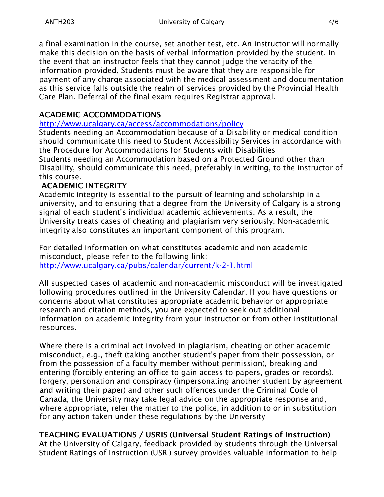a final examination in the course, set another test, etc. An instructor will normally make this decision on the basis of verbal information provided by the student. In the event that an instructor feels that they cannot judge the veracity of the information provided, Students must be aware that they are responsible for payment of any charge associated with the medical assessment and documentation as this service falls outside the realm of services provided by the Provincial Health Care Plan. Deferral of the final exam requires Registrar approval.

### ACADEMIC ACCOMMODATIONS

<http://www.ucalgary.ca/access/accommodations/policy>

Students needing an Accommodation because of a Disability or medical condition should communicate this need to Student Accessibility Services in accordance with the Procedure for Accommodations for Students with Disabilities Students needing an Accommodation based on a Protected Ground other than Disability, should communicate this need, preferably in writing, to the instructor of this course.

### ACADEMIC INTEGRITY

Academic integrity is essential to the pursuit of learning and scholarship in a university, and to ensuring that a degree from the University of Calgary is a strong signal of each student's individual academic achievements. As a result, the University treats cases of cheating and plagiarism very seriously. Non-academic integrity also constitutes an important component of this program.

For detailed information on what constitutes academic and non-academic misconduct, please refer to the following link: <http://www.ucalgary.ca/pubs/calendar/current/k-2-1.html>

All suspected cases of academic and non-academic misconduct will be investigated following procedures outlined in the University Calendar. If you have questions or concerns about what constitutes appropriate academic behavior or appropriate research and citation methods, you are expected to seek out additional information on academic integrity from your instructor or from other institutional resources.

Where there is a criminal act involved in plagiarism, cheating or other academic misconduct, e.g., theft (taking another student's paper from their possession, or from the possession of a faculty member without permission), breaking and entering (forcibly entering an office to gain access to papers, grades or records), forgery, personation and conspiracy (impersonating another student by agreement and writing their paper) and other such offences under the Criminal Code of Canada, the University may take legal advice on the appropriate response and, where appropriate, refer the matter to the police, in addition to or in substitution for any action taken under these regulations by the University

## TEACHING EVALUATIONS / USRIS (Universal Student Ratings of Instruction)

At the University of Calgary, feedback provided by students through the Universal Student Ratings of Instruction (USRI) survey provides valuable information to help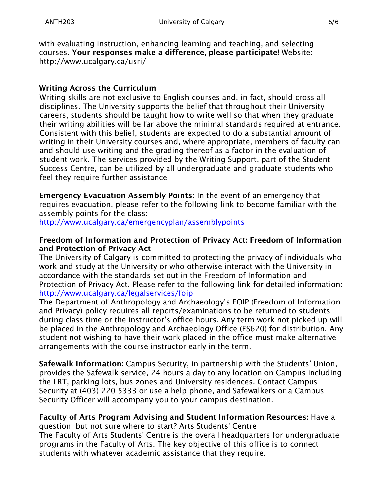with evaluating instruction, enhancing learning and teaching, and selecting courses. Your responses make a difference, please participate! Website: http://www.ucalgary.ca/usri/

#### Writing Across the Curriculum

Writing skills are not exclusive to English courses and, in fact, should cross all disciplines. The University supports the belief that throughout their University careers, students should be taught how to write well so that when they graduate their writing abilities will be far above the minimal standards required at entrance. Consistent with this belief, students are expected to do a substantial amount of writing in their University courses and, where appropriate, members of faculty can and should use writing and the grading thereof as a factor in the evaluation of student work. The services provided by the Writing Support, part of the Student Success Centre, can be utilized by all undergraduate and graduate students who feel they require further assistance

Emergency Evacuation Assembly Points: In the event of an emergency that requires evacuation, please refer to the following link to become familiar with the assembly points for the class:

<http://www.ucalgary.ca/emergencyplan/assemblypoints>

#### Freedom of Information and Protection of Privacy Act: Freedom of Information and Protection of Privacy Act

The University of Calgary is committed to protecting the privacy of individuals who work and study at the University or who otherwise interact with the University in accordance with the standards set out in the Freedom of Information and Protection of Privacy Act. Please refer to the following link for detailed information: <http://www.ucalgary.ca/legalservices/foip>

The Department of Anthropology and Archaeology's FOIP (Freedom of Information and Privacy) policy requires all reports/examinations to be returned to students during class time or the instructor's office hours. Any term work not picked up will be placed in the Anthropology and Archaeology Office (ES620) for distribution. Any student not wishing to have their work placed in the office must make alternative arrangements with the course instructor early in the term.

Safewalk Information: Campus Security, in partnership with the Students' Union, provides the Safewalk service, 24 hours a day to any location on Campus including the LRT, parking lots, bus zones and University residences. Contact Campus Security at (403) 220-5333 or use a help phone, and Safewalkers or a Campus Security Officer will accompany you to your campus destination.

#### Faculty of Arts Program Advising and Student Information Resources: Have a

question, but not sure where to start? Arts Students' Centre The Faculty of Arts Students' Centre is the overall headquarters for undergraduate programs in the Faculty of Arts. The key objective of this office is to connect students with whatever academic assistance that they require.